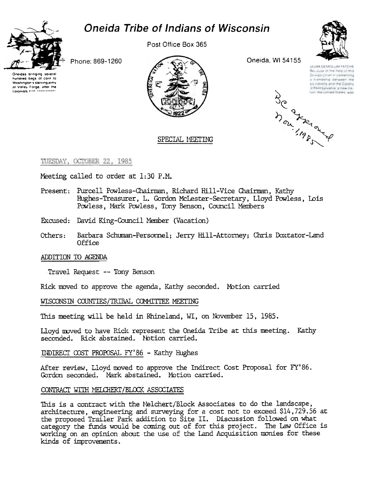



Post Office Box 365



LIGWA DEMOLUM VATEHE Because of the help of this

Dringa Chief in cementing

a hiendship between the

su inabons and the Colony

d Pennsylvania a new ria-

Son the United States was

BC of the grand

Phone: 869-1260

Oneidas bringing several hundred bags of corn to Washington's starving army at Valley Forge, after the colonists **Part** 



## SPECIAL MEETING

TUESDAY, OCTOBER 22, 1985

Meeting called to order at 1:30 P.M.

- Present: Purcell Powless-Chairman, Richard Hill-Vice Chairman, Kathy Hughes-Treasurer, L. Gordon McLester-Secretary, Lloyd Powless, Lois Powless. Mark Powless, Tony Benson, Council Members
- Excused: David King-Council Member (Vacation)
- Others: Barbara Schuman-Personnel; Jerry Hill-Attorney; Chris Doxtator-Land **Office**

### ADDITION TO AGENDA

Travel Request -- Tony Benson

Rick moved to approve the agenda, Kathy seconded. Motion carried

WISCONSIN COUNTIES/TRIBAL COMMITTEE MEETING

This meeting will be held in Rhineland, WI, on November 15, 1985.

Lloyd moved to have Rick represent the Oneida Tribe at this meeting. Kathy seconded. Rick abstained. Notion carried.

INDIRECT COST PROPOSAL FY'86 - Kathy Hughes

After review, Lloyd moved to approve the Indirect Cost Proposal for FY'86. Gordon seconded. Mark abstained. Motion carried.

### CONTRACT WITH MELCHERT/BLOCK ASSOCIATES

This is a contract with the Melchert/Block Associates to do the landscape, architecture, engineering and surveying for a cost not to exceed \$14,729.56 at the proposed Trailer Park addition to Site II. Discussion followed on what category the funds would be coming out of for this project. The Law Office is working on an opinion about the use of the Land Acquisition monies for these kinds of improvements.

Oneida, WI 54155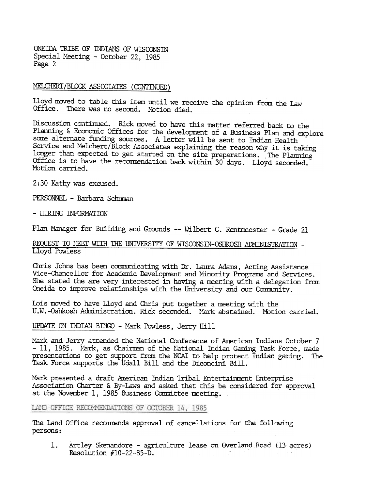ONEIDA TRIBE OF INDIANS OF WISCONSIN Special Meeting - October 22, 1985 Page 2

## MELCHERT/BLOCK ASSOCIATES (CONTINUED)

Lloyd moved to table this item until we receive the opinion from the Law Office. There was no second. Motion died.

Discussion continued. Rick moved to have this matter referred back to the Planning & Economic Offices for the development of a Business Plan and explore some alternate funding sources. A letter will be sent to Indian Health Service and Melchert/Block Associates explaining the reason why it is taking longer than expected to get started on the site preparations. The Planning Office is to have the recommendation back within 30 days. Lloyd seconded. Motion carried.

2:30 Kathy was excused.

PERSONNEL - Barbara Schuman

#### - HIRING INFORMATION

Plan Manager for Building and Grounds -- Wilbert C. Rentmeester - Grade 21

## REQUEST TO MEET WITH THE UNIVERSITY OF WISCONSIN-OSHKOSH ADMINISTRATION -Lloyd Powless

Chris Johns has been communicating with Dr. Laura Adams, Acting Assistance Vice-Chancellor for Academic Development and Minority Programs and Services. She stated the are very interested in having a meeting with a delegation from Oneida to improve relationships with the University and our Community.

Lois moved to have Lloyd and Chris put together a meeting with the U.W.-Oshkosh Administration. Rick seconded. Mark abstained. Motion carried.

# UPDATE ON INDIAN BINGO - Mark Powless, Jerry Hill

Mark and Jerry attended the National Conference of American Indians October 7 - 11, 1985. Mark, as Chairman of the National Indian Gaming Task Force, made presentations to get support from the NCAI to help protect Indian gaming. The Task Force supports the Udall Bill and the Diconcini Bill.

Mark presented a draft American Indian Tribal Entertainment Enterprise Association Charter & By-Laws and asked that this be considered for approval at the November 1, 1985 Business Committee meeting.

# LAND GFFICE RECOMMENDATIONS OF OCTOBER 14, 1985

The Land Office recommends approval of cancellations for the following persons:

Artley Skenandore - agriculture lease on Overland Road (13 acres) 1. Resolution  $#10-22-85-D$ .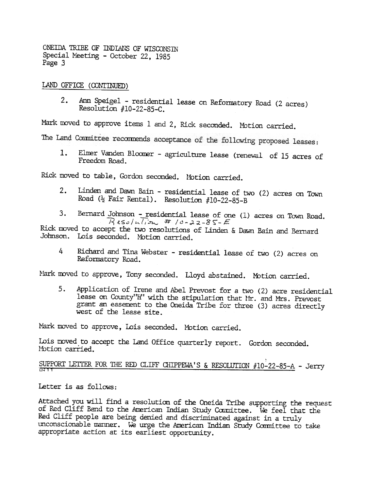ONEIDA TRIBE OF INDIANS OF WISCONSIN Special Meeting - October 22, 1985 Page 3

LAND CFFICE (CONTINUED)

Ann Speigel - residential lease on Reformatory Road (2 acres)  $2.$ Resolution  $#10-22-85-C$ .

Mark moved to approve items 1 and 2, Rick seconded. Motion carried.

The Land Committee recommends acceptance of the following proposed leases:

Elmer Vanden Bloomer - agriculture lease (renewal of 15 acres of  $1:$ Freedom Road.

Rick moved to table, Gordon seconded. Motion carried.

- Linden and Dawn Bain residential lease of two (2) acres on Town  $2.$ Road ( $\frac{1}{2}$  Fair Rental). Resolution #10-22-85-B
- Bernard Johnson residential lease of one (1) acres on Town Road.  $3.$  $R$ 250/*ulion #* /0-22-85-E

Rick moved to accept the two resolutions of Linden & Dawn Bain and Bernard Johnson. Lois seconded. Motion carried.

4 Richard and Tina Webster - residential lease of two (2) acres on Reformatory Road.

Mark moved to approve, Tony seconded. Lloyd abstained. Motion carried.

Application of Irene and Abel Prevost for a two (2) acre residential 5. lease on County"H" with the stipulation that Mr. and Mrs. Prevost grant an easement to the Oneida Tribe for three (3) acres directly west of the lease site.

Mark moved to approve, Lois seconded. Motion carried.

Lois moved to accept the Land Office quarterly report. Gordon seconded. Motion carried.

SUPPORT LETTER FOR THE RED CLIFF CHIPPEWA'S & RESOLUTION #10-22-85-A - Jerry

Letter is as follows:

Attached you will find a resolution of the Oneida Tribe supporting the request of Red Cliff Band to the American Indian Study Committee. We feel that the Red Cliff people are being denied and discriminated against in a truly unconscionable manner. We urge the American Indian Study Committee to take appropriate action at its earliest opportunity.